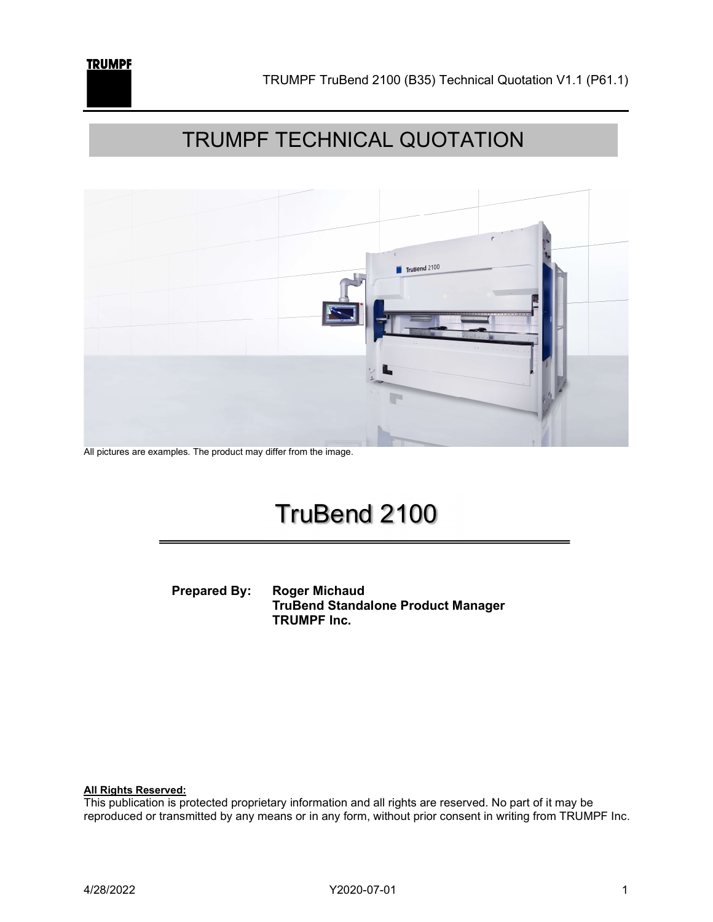

### TRUMPF TECHNICAL QUOTATION



All pictures are examples. The product may differ from the image.

### TruBend 2100

 Prepared By: Roger Michaud TruBend Standalone Product Manager TRUMPF Inc.

All Rights Reserved:

This publication is protected proprietary information and all rights are reserved. No part of it may be reproduced or transmitted by any means or in any form, without prior consent in writing from TRUMPF Inc.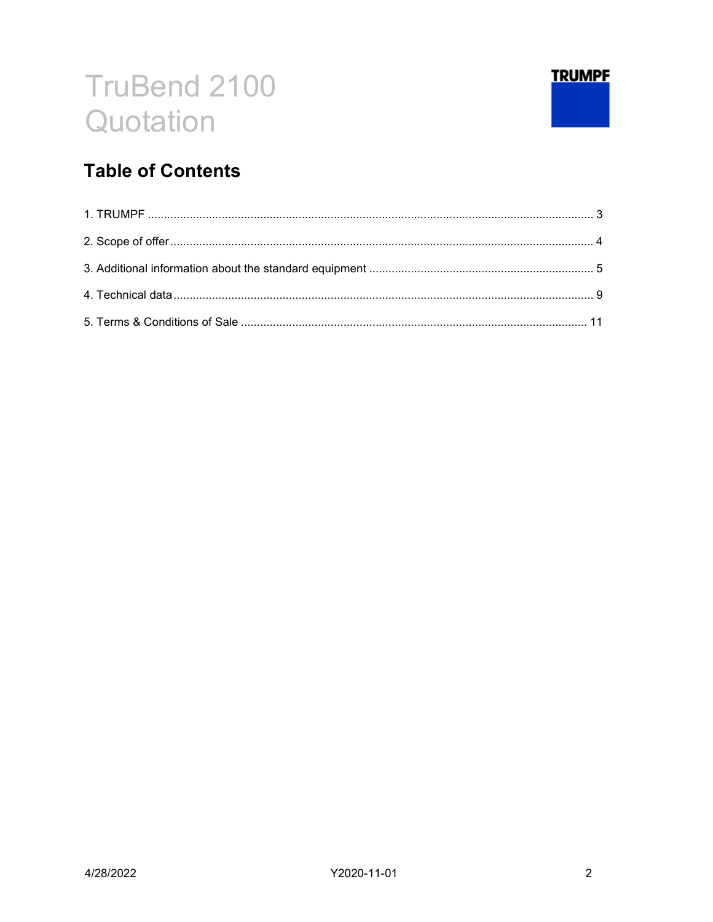

### **Table of Contents**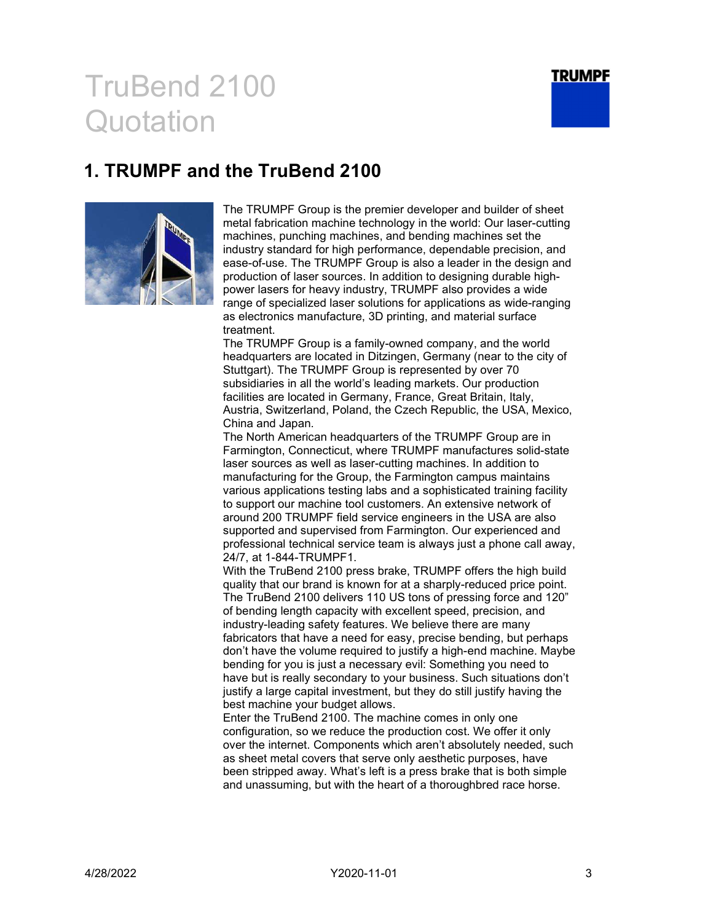

### 1. TRUMPF and the TruBend 2100



The TRUMPF Group is the premier developer and builder of sheet metal fabrication machine technology in the world: Our laser-cutting machines, punching machines, and bending machines set the industry standard for high performance, dependable precision, and ease-of-use. The TRUMPF Group is also a leader in the design and production of laser sources. In addition to designing durable highpower lasers for heavy industry, TRUMPF also provides a wide range of specialized laser solutions for applications as wide-ranging as electronics manufacture, 3D printing, and material surface treatment.

The TRUMPF Group is a family-owned company, and the world headquarters are located in Ditzingen, Germany (near to the city of Stuttgart). The TRUMPF Group is represented by over 70 subsidiaries in all the world's leading markets. Our production facilities are located in Germany, France, Great Britain, Italy, Austria, Switzerland, Poland, the Czech Republic, the USA, Mexico, China and Japan.

The North American headquarters of the TRUMPF Group are in Farmington, Connecticut, where TRUMPF manufactures solid-state laser sources as well as laser-cutting machines. In addition to manufacturing for the Group, the Farmington campus maintains various applications testing labs and a sophisticated training facility to support our machine tool customers. An extensive network of around 200 TRUMPF field service engineers in the USA are also supported and supervised from Farmington. Our experienced and professional technical service team is always just a phone call away, 24/7, at 1-844-TRUMPF1.

With the TruBend 2100 press brake, TRUMPF offers the high build quality that our brand is known for at a sharply-reduced price point. The TruBend 2100 delivers 110 US tons of pressing force and 120" of bending length capacity with excellent speed, precision, and industry-leading safety features. We believe there are many fabricators that have a need for easy, precise bending, but perhaps don't have the volume required to justify a high-end machine. Maybe bending for you is just a necessary evil: Something you need to have but is really secondary to your business. Such situations don't justify a large capital investment, but they do still justify having the best machine your budget allows.

Enter the TruBend 2100. The machine comes in only one configuration, so we reduce the production cost. We offer it only over the internet. Components which aren't absolutely needed, such as sheet metal covers that serve only aesthetic purposes, have been stripped away. What's left is a press brake that is both simple and unassuming, but with the heart of a thoroughbred race horse.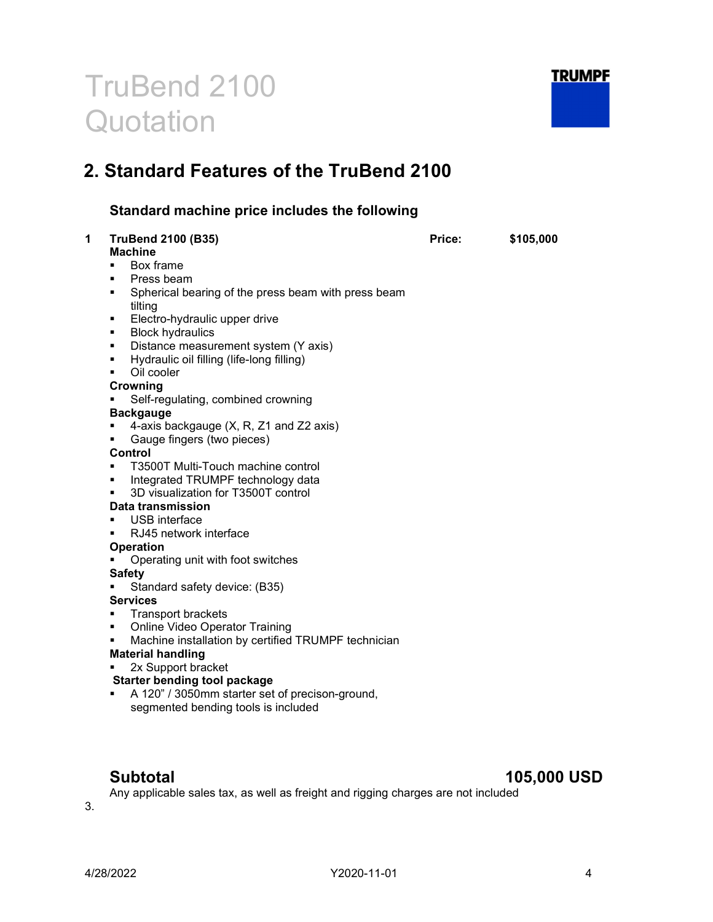

### 2. Standard Features of the TruBend 2100

### Standard machine price includes the following

| <b>TruBend 2100 (B35)</b><br><b>Machine</b>                    | Price: | \$105,000 |
|----------------------------------------------------------------|--------|-----------|
| Box frame<br>$\blacksquare$                                    |        |           |
| Press beam<br>٠                                                |        |           |
| ٠                                                              |        |           |
| Spherical bearing of the press beam with press beam<br>tilting |        |           |
| Electro-hydraulic upper drive<br>٠                             |        |           |
| <b>Block hydraulics</b><br>٠                                   |        |           |
| Distance measurement system (Y axis)<br>٠                      |        |           |
| Hydraulic oil filling (life-long filling)<br>$\blacksquare$    |        |           |
| Oil cooler<br>$\blacksquare$                                   |        |           |
| Crowning                                                       |        |           |
| Self-regulating, combined crowning                             |        |           |
| <b>Backgauge</b>                                               |        |           |
| 4-axis backgauge (X, R, Z1 and Z2 axis)<br>٠                   |        |           |
| Gauge fingers (two pieces)<br>٠                                |        |           |
| <b>Control</b>                                                 |        |           |
| T3500T Multi-Touch machine control<br>٠                        |        |           |
| Integrated TRUMPF technology data<br>٠                         |        |           |
| 3D visualization for T3500T control<br>$\blacksquare$          |        |           |
| <b>Data transmission</b>                                       |        |           |
| <b>USB</b> interface<br>٠                                      |        |           |
| RJ45 network interface<br>٠                                    |        |           |
| <b>Operation</b>                                               |        |           |
| Operating unit with foot switches<br>٠                         |        |           |
| <b>Safety</b>                                                  |        |           |
| Standard safety device: (B35)                                  |        |           |
| <b>Services</b>                                                |        |           |
| <b>Transport brackets</b><br>٠                                 |        |           |
| <b>Online Video Operator Training</b><br>٠                     |        |           |
| Machine installation by certified TRUMPF technician<br>٠       |        |           |
| <b>Material handling</b>                                       |        |           |
| 2x Support bracket<br>٠                                        |        |           |
| <b>Starter bending tool package</b>                            |        |           |
| A 120" / 3050mm starter set of precison-ground,<br>٠           |        |           |
| segmented bending tools is included                            |        |           |
|                                                                |        |           |

### Subtotal 105,000 USD

Any applicable sales tax, as well as freight and rigging charges are not included

3.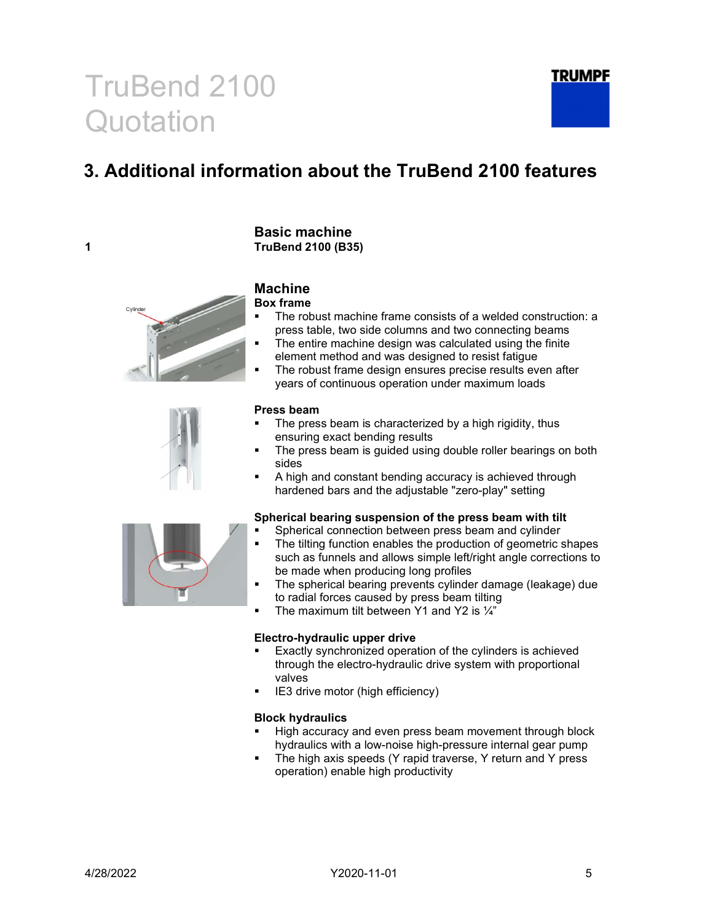### 3. Additional information about the TruBend 2100 features



#### Machine

Basic machine

Box frame

- The robust machine frame consists of a welded construction: a press table, two side columns and two connecting beams
- The entire machine design was calculated using the finite element method and was designed to resist fatigue
- The robust frame design ensures precise results even after years of continuous operation under maximum loads

#### Press beam

- The press beam is characterized by a high rigidity, thus ensuring exact bending results
- The press beam is guided using double roller bearings on both sides
- A high and constant bending accuracy is achieved through hardened bars and the adjustable "zero-play" setting

#### Spherical bearing suspension of the press beam with tilt

- Spherical connection between press beam and cylinder
- The tilting function enables the production of geometric shapes such as funnels and allows simple left/right angle corrections to be made when producing long profiles
- The spherical bearing prevents cylinder damage (leakage) due to radial forces caused by press beam tilting
- The maximum tilt between Y1 and Y2 is  $\frac{1}{4}$

#### Electro-hydraulic upper drive

- Exactly synchronized operation of the cylinders is achieved through the electro-hydraulic drive system with proportional valves
- IE3 drive motor (high efficiency)

#### Block hydraulics

- High accuracy and even press beam movement through block hydraulics with a low-noise high-pressure internal gear pump
- The high axis speeds (Y rapid traverse, Y return and Y press operation) enable high productivity

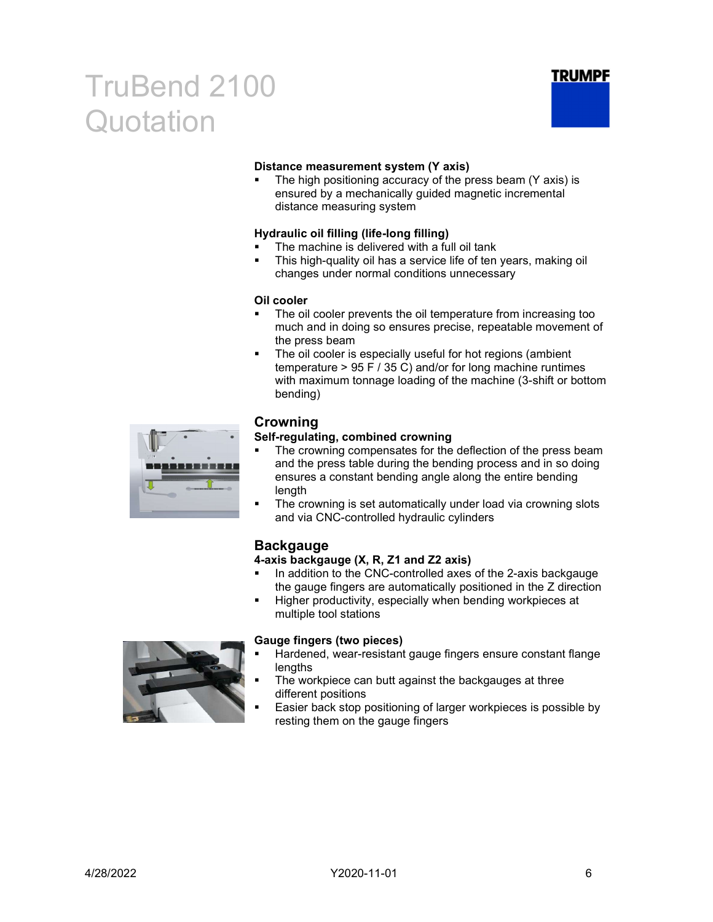

#### Distance measurement system (Y axis)

 The high positioning accuracy of the press beam (Y axis) is ensured by a mechanically guided magnetic incremental distance measuring system

#### Hydraulic oil filling (life-long filling)

- The machine is delivered with a full oil tank
- This high-quality oil has a service life of ten years, making oil changes under normal conditions unnecessary

#### Oil cooler

- The oil cooler prevents the oil temperature from increasing too much and in doing so ensures precise, repeatable movement of the press beam
- The oil cooler is especially useful for hot regions (ambient temperature > 95 F / 35 C) and/or for long machine runtimes with maximum tonnage loading of the machine (3-shift or bottom bending)



#### Crowning

#### Self-regulating, combined crowning

- The crowning compensates for the deflection of the press beam and the press table during the bending process and in so doing ensures a constant bending angle along the entire bending length
- The crowning is set automatically under load via crowning slots and via CNC-controlled hydraulic cylinders

#### **Backgauge**

#### 4-axis backgauge (X, R, Z1 and Z2 axis)

- In addition to the CNC-controlled axes of the 2-axis backgauge the gauge fingers are automatically positioned in the Z direction
- Higher productivity, especially when bending workpieces at multiple tool stations



#### Gauge fingers (two pieces)

- Hardened, wear-resistant gauge fingers ensure constant flange lengths
- The workpiece can butt against the backgauges at three different positions
- Easier back stop positioning of larger workpieces is possible by resting them on the gauge fingers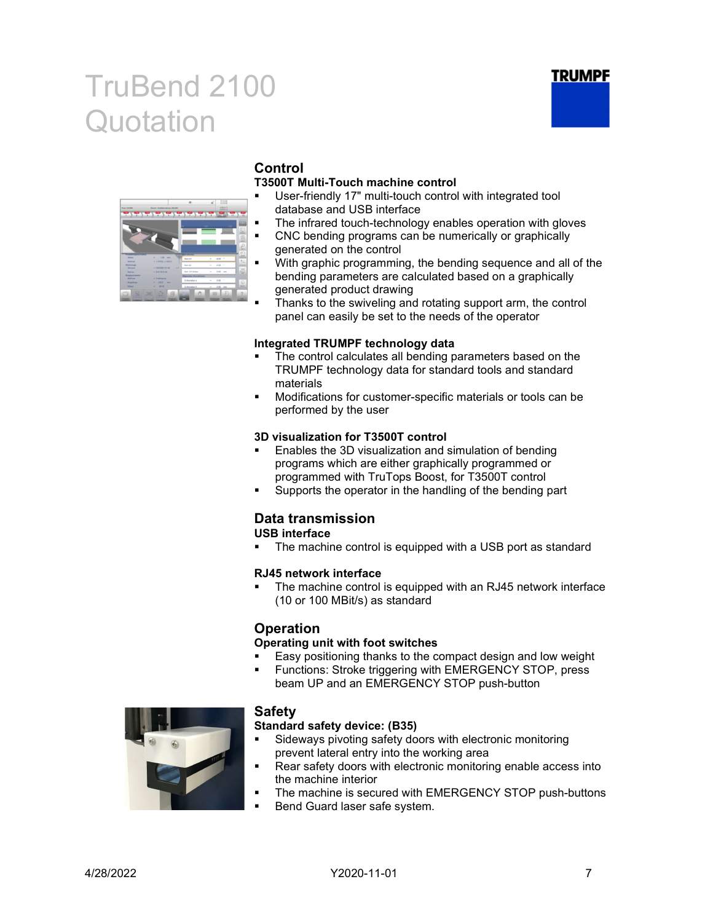



### Control

#### T3500T Multi-Touch machine control

- User-friendly 17" multi-touch control with integrated tool database and USB interface
- The infrared touch-technology enables operation with gloves
- CNC bending programs can be numerically or graphically generated on the control
- With graphic programming, the bending sequence and all of the bending parameters are calculated based on a graphically generated product drawing
- Thanks to the swiveling and rotating support arm, the control panel can easily be set to the needs of the operator

#### Integrated TRUMPF technology data

- The control calculates all bending parameters based on the TRUMPF technology data for standard tools and standard materials
- Modifications for customer-specific materials or tools can be performed by the user

#### 3D visualization for T3500T control

- Enables the 3D visualization and simulation of bending programs which are either graphically programmed or programmed with TruTops Boost, for T3500T control
- Supports the operator in the handling of the bending part

### Data transmission

USB interface

The machine control is equipped with a USB port as standard

#### RJ45 network interface

 The machine control is equipped with an RJ45 network interface (10 or 100 MBit/s) as standard

#### **Operation**

#### Operating unit with foot switches

- Easy positioning thanks to the compact design and low weight
- Functions: Stroke triggering with EMERGENCY STOP, press beam UP and an EMERGENCY STOP push-button



#### Safety

#### Standard safety device: (B35)

- **Sideways pivoting safety doors with electronic monitoring** prevent lateral entry into the working area
- Rear safety doors with electronic monitoring enable access into the machine interior
- The machine is secured with EMERGENCY STOP push-buttons
- Bend Guard laser safe system.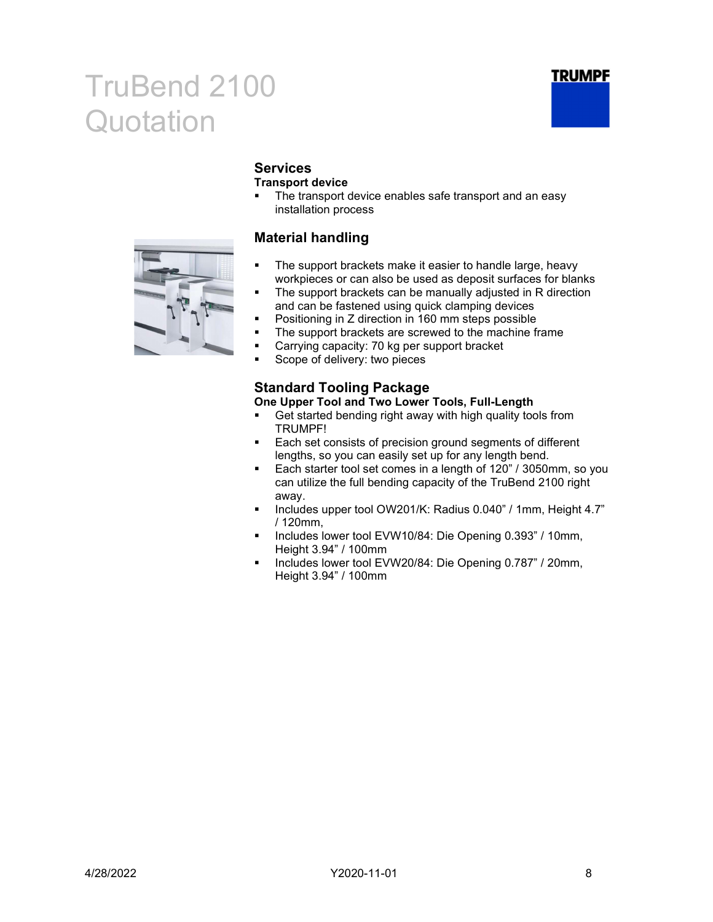



### **Services**

#### Transport device

• The transport device enables safe transport and an easy installation process

#### Material handling

- **The support brackets make it easier to handle large, heavy** workpieces or can also be used as deposit surfaces for blanks
- The support brackets can be manually adjusted in R direction and can be fastened using quick clamping devices
- Positioning in Z direction in 160 mm steps possible
- The support brackets are screwed to the machine frame
- **EXP** Carrying capacity: 70 kg per support bracket
- **Scope of delivery: two pieces**

### Standard Tooling Package

#### One Upper Tool and Two Lower Tools, Full-Length

- Get started bending right away with high quality tools from TRUMPF!
- **Each set consists of precision ground segments of different** lengths, so you can easily set up for any length bend.
- Each starter tool set comes in a length of 120" / 3050mm, so you can utilize the full bending capacity of the TruBend 2100 right away.
- Includes upper tool OW201/K: Radius 0.040" / 1mm, Height 4.7" / 120mm,
- Includes lower tool EVW10/84: Die Opening 0.393" / 10mm, Height 3.94" / 100mm
- Includes lower tool EVW20/84: Die Opening 0.787" / 20mm, Height 3.94" / 100mm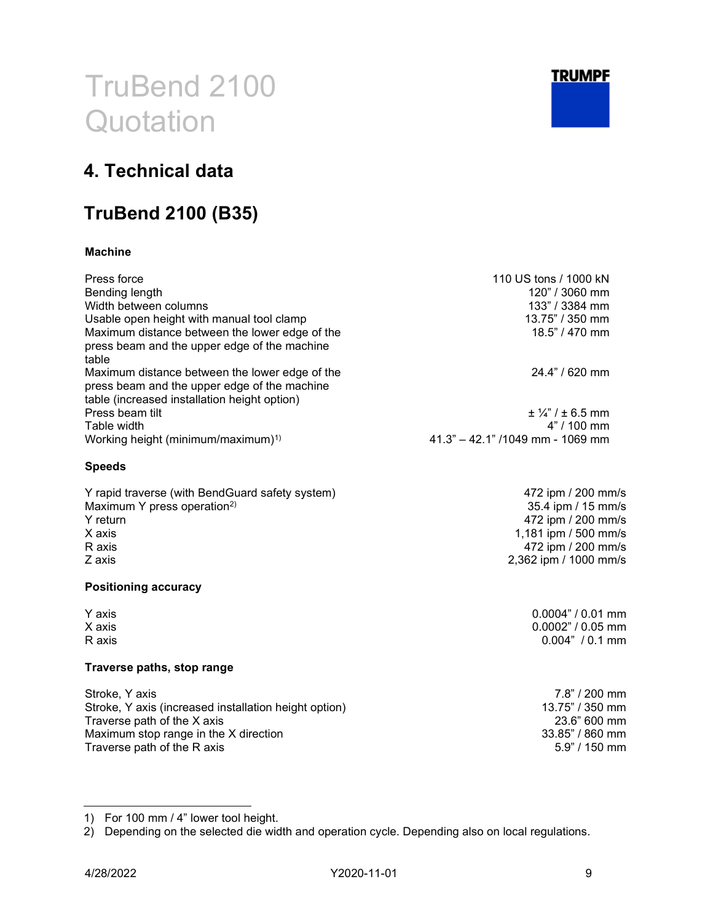

472 ipm / 200 mm/s 35.4 ipm / 15 mm/s 472 ipm / 200 mm/s 1,181 ipm / 500 mm/s 472 ipm / 200 mm/s 2,362 ipm / 1000 mm/s

> $0.0004" / 0.01$  mm  $0.0002" / 0.05$  mm  $0.004" / 0.1 mm$

# TruBend 2100 **Quotation**

### 4. Technical data

### TruBend 2100 (B35)

#### Machine

| Press force<br>Bending length<br>Width between columns<br>Usable open height with manual tool clamp<br>Maximum distance between the lower edge of the<br>press beam and the upper edge of the machine<br>table | 110 US tons / 1000 kN<br>120" / 3060 mm<br>133" / 3384 mm<br>$13.75$ " / 350 mm<br>$18.5$ " / 470 mm |
|----------------------------------------------------------------------------------------------------------------------------------------------------------------------------------------------------------------|------------------------------------------------------------------------------------------------------|
| Maximum distance between the lower edge of the<br>press beam and the upper edge of the machine<br>table (increased installation height option)                                                                 | $24.4" / 620$ mm                                                                                     |
| Press beam tilt<br>Table width<br>Working height (minimum/maximum) <sup>1)</sup>                                                                                                                               | $\pm$ 1/4" / $\pm$ 6.5 mm<br>$4" / 100$ mm<br>41.3" - 42.1" /1049 mm - 1069 mm                       |

#### Speeds

| Y rapid traverse (with BendGuard safety system) |
|-------------------------------------------------|
| Maximum Y press operation <sup>2)</sup>         |
| Y return                                        |
| X axis                                          |
| R axis                                          |
| Z axis                                          |
|                                                 |

#### Positioning accuracy

| Y axis |
|--------|
| X axis |
| R axis |

#### Traverse paths, stop range

| Stroke, Y axis                                        | $7.8" / 200$ mm |
|-------------------------------------------------------|-----------------|
| Stroke, Y axis (increased installation height option) | 13.75" / 350 mm |
| Traverse path of the X axis                           | 23.6" 600 mm    |
| Maximum stop range in the X direction                 | 33.85" / 860 mm |
| Traverse path of the R axis                           | $5.9" / 150$ mm |

1) For 100 mm / 4" lower tool height.

2) Depending on the selected die width and operation cycle. Depending also on local regulations.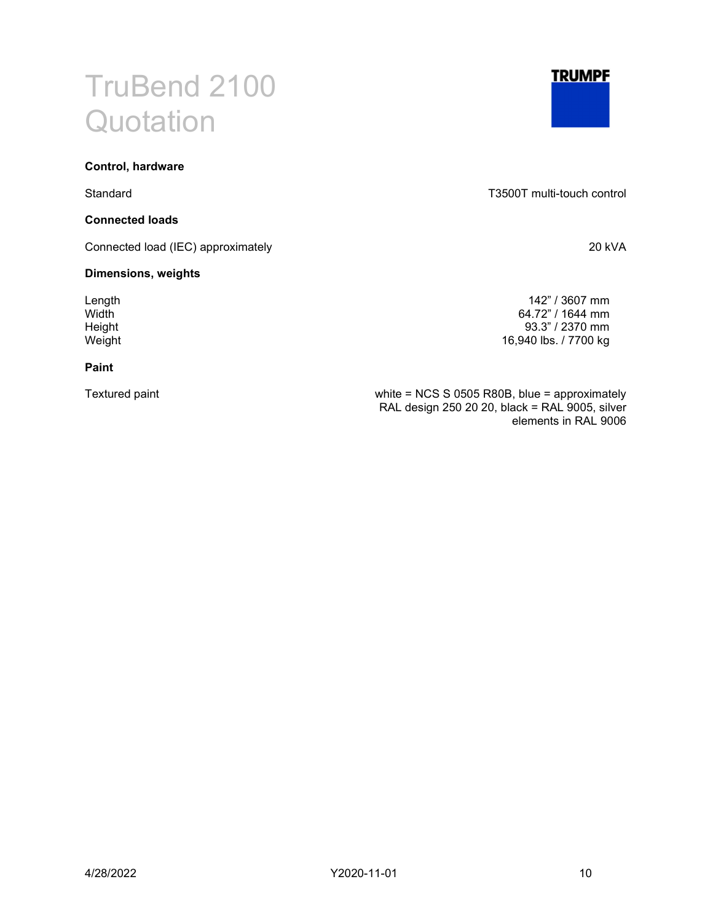#### Control, hardware

#### Connected loads

Connected load (IEC) approximately 20 kVA

#### Dimensions, weights

#### Paint



Standard T3500T multi-touch control

Length 142" / 3607 mm Width 64.72" / 1644 mm<br>
Height 93.3" / 2370 mm Height 93.3" / 2370 mm<br>Weight 16,940 lbs. / 7700 kg 16,940 lbs. / 7700 kg

Textured paint white = NCS S 0505 R80B, blue = approximately RAL design 250 20 20, black = RAL 9005, silver elements in RAL 9006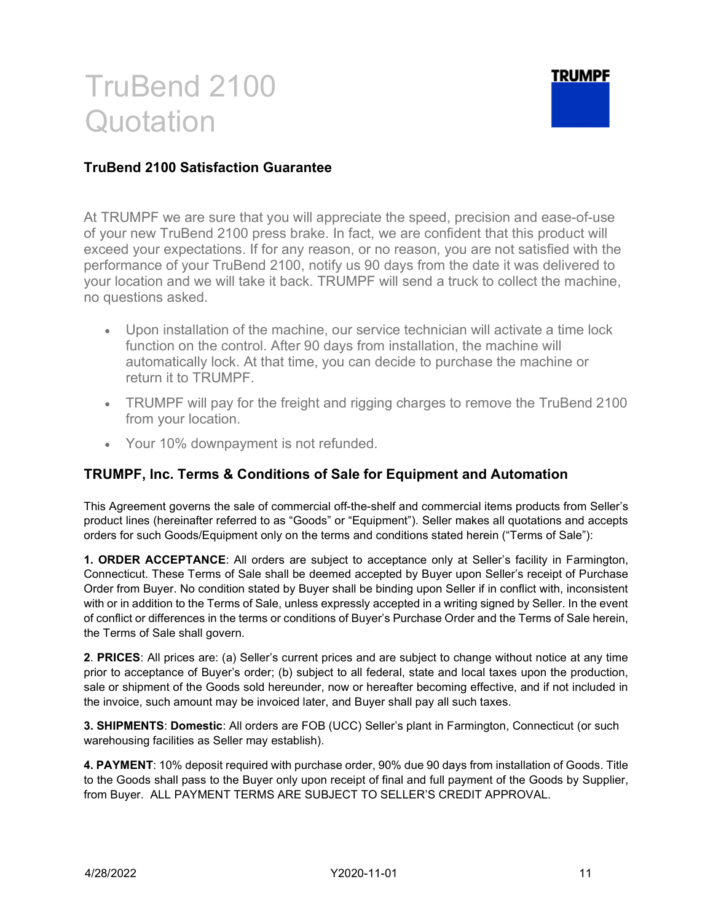### TRUMPF

#### TruBend 2100 Satisfaction Guarantee

At TRUMPF we are sure that you will appreciate the speed, precision and ease-of-use of your new TruBend 2100 press brake. In fact, we are confident that this product will exceed your expectations. If for any reason, or no reason, you are not satisfied with the performance of your TruBend 2100, notify us 90 days from the date it was delivered to your location and we will take it back. TRUMPF will send a truck to collect the machine, no questions asked.

- Upon installation of the machine, our service technician will activate a time lock function on the control. After 90 days from installation, the machine will automatically lock. At that time, you can decide to purchase the machine or return it to TRUMPF.
- TRUMPF will pay for the freight and rigging charges to remove the TruBend 2100 from your location.
- Your 10% downpayment is not refunded.

#### TRUMPF, Inc. Terms & Conditions of Sale for Equipment and Automation

This Agreement governs the sale of commercial off-the-shelf and commercial items products from Seller's product lines (hereinafter referred to as "Goods" or "Equipment"). Seller makes all quotations and accepts orders for such Goods/Equipment only on the terms and conditions stated herein ("Terms of Sale"):

1. ORDER ACCEPTANCE: All orders are subject to acceptance only at Seller's facility in Farmington, Connecticut. These Terms of Sale shall be deemed accepted by Buyer upon Seller's receipt of Purchase Order from Buyer. No condition stated by Buyer shall be binding upon Seller if in conflict with, inconsistent with or in addition to the Terms of Sale, unless expressly accepted in a writing signed by Seller. In the event of conflict or differences in the terms or conditions of Buyer's Purchase Order and the Terms of Sale herein, the Terms of Sale shall govern.

2. PRICES: All prices are: (a) Seller's current prices and are subject to change without notice at any time prior to acceptance of Buyer's order; (b) subject to all federal, state and local taxes upon the production, sale or shipment of the Goods sold hereunder, now or hereafter becoming effective, and if not included in the invoice, such amount may be invoiced later, and Buyer shall pay all such taxes.

3. SHIPMENTS: Domestic: All orders are FOB (UCC) Seller's plant in Farmington, Connecticut (or such warehousing facilities as Seller may establish).

4. PAYMENT: 10% deposit required with purchase order, 90% due 90 days from installation of Goods. Title to the Goods shall pass to the Buyer only upon receipt of final and full payment of the Goods by Supplier, from Buyer. ALL PAYMENT TERMS ARE SUBJECT TO SELLER'S CREDIT APPROVAL.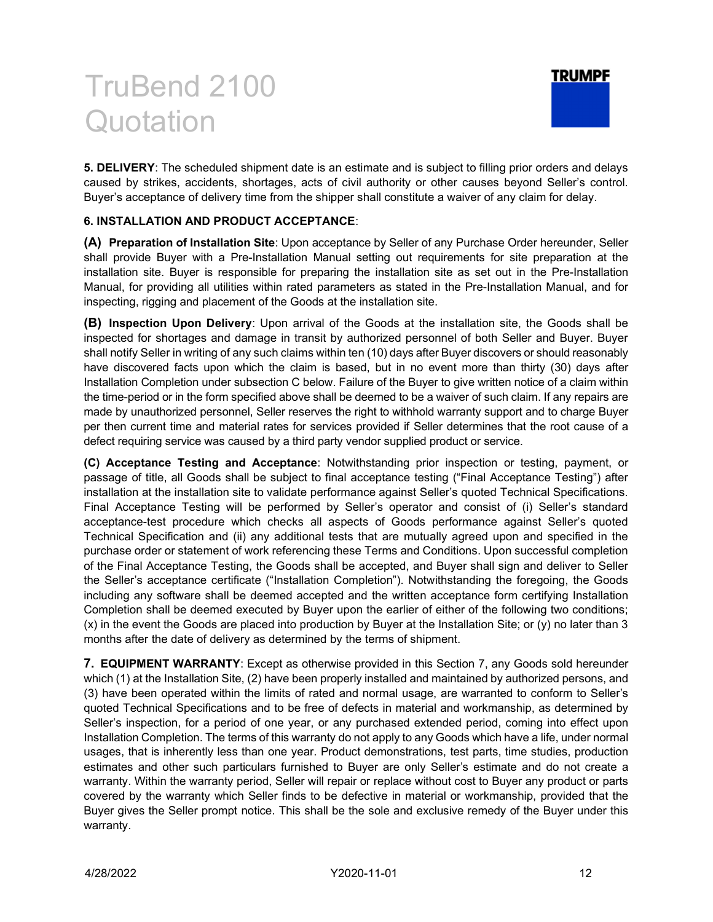

5. DELIVERY: The scheduled shipment date is an estimate and is subject to filling prior orders and delays caused by strikes, accidents, shortages, acts of civil authority or other causes beyond Seller's control. Buyer's acceptance of delivery time from the shipper shall constitute a waiver of any claim for delay.

#### 6. INSTALLATION AND PRODUCT ACCEPTANCE:

(A) Preparation of Installation Site: Upon acceptance by Seller of any Purchase Order hereunder, Seller shall provide Buyer with a Pre-Installation Manual setting out requirements for site preparation at the installation site. Buyer is responsible for preparing the installation site as set out in the Pre-Installation Manual, for providing all utilities within rated parameters as stated in the Pre-Installation Manual, and for inspecting, rigging and placement of the Goods at the installation site.

(B) Inspection Upon Delivery: Upon arrival of the Goods at the installation site, the Goods shall be inspected for shortages and damage in transit by authorized personnel of both Seller and Buyer. Buyer shall notify Seller in writing of any such claims within ten (10) days after Buyer discovers or should reasonably have discovered facts upon which the claim is based, but in no event more than thirty (30) days after Installation Completion under subsection C below. Failure of the Buyer to give written notice of a claim within the time-period or in the form specified above shall be deemed to be a waiver of such claim. If any repairs are made by unauthorized personnel, Seller reserves the right to withhold warranty support and to charge Buyer per then current time and material rates for services provided if Seller determines that the root cause of a defect requiring service was caused by a third party vendor supplied product or service.

(C) Acceptance Testing and Acceptance: Notwithstanding prior inspection or testing, payment, or passage of title, all Goods shall be subject to final acceptance testing ("Final Acceptance Testing") after installation at the installation site to validate performance against Seller's quoted Technical Specifications. Final Acceptance Testing will be performed by Seller's operator and consist of (i) Seller's standard acceptance-test procedure which checks all aspects of Goods performance against Seller's quoted Technical Specification and (ii) any additional tests that are mutually agreed upon and specified in the purchase order or statement of work referencing these Terms and Conditions. Upon successful completion of the Final Acceptance Testing, the Goods shall be accepted, and Buyer shall sign and deliver to Seller the Seller's acceptance certificate ("Installation Completion"). Notwithstanding the foregoing, the Goods including any software shall be deemed accepted and the written acceptance form certifying Installation Completion shall be deemed executed by Buyer upon the earlier of either of the following two conditions; (x) in the event the Goods are placed into production by Buyer at the Installation Site; or (y) no later than 3 months after the date of delivery as determined by the terms of shipment.

7. EQUIPMENT WARRANTY: Except as otherwise provided in this Section 7, any Goods sold hereunder which (1) at the Installation Site, (2) have been properly installed and maintained by authorized persons, and (3) have been operated within the limits of rated and normal usage, are warranted to conform to Seller's quoted Technical Specifications and to be free of defects in material and workmanship, as determined by Seller's inspection, for a period of one year, or any purchased extended period, coming into effect upon Installation Completion. The terms of this warranty do not apply to any Goods which have a life, under normal usages, that is inherently less than one year. Product demonstrations, test parts, time studies, production estimates and other such particulars furnished to Buyer are only Seller's estimate and do not create a warranty. Within the warranty period, Seller will repair or replace without cost to Buyer any product or parts covered by the warranty which Seller finds to be defective in material or workmanship, provided that the Buyer gives the Seller prompt notice. This shall be the sole and exclusive remedy of the Buyer under this warranty.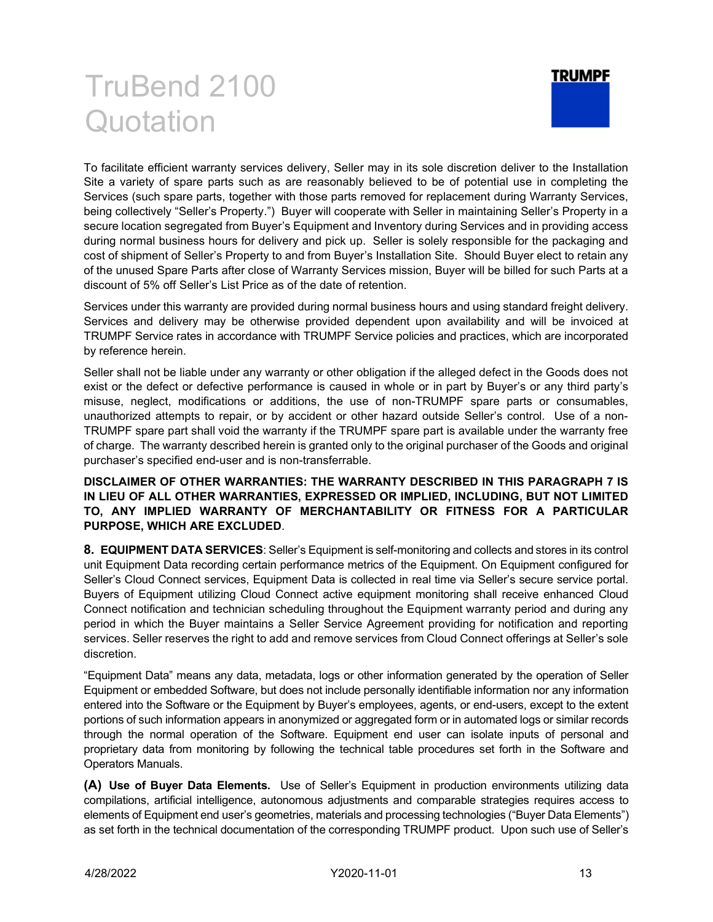

To facilitate efficient warranty services delivery, Seller may in its sole discretion deliver to the Installation Site a variety of spare parts such as are reasonably believed to be of potential use in completing the Services (such spare parts, together with those parts removed for replacement during Warranty Services, being collectively "Seller's Property.") Buyer will cooperate with Seller in maintaining Seller's Property in a secure location segregated from Buyer's Equipment and Inventory during Services and in providing access during normal business hours for delivery and pick up. Seller is solely responsible for the packaging and cost of shipment of Seller's Property to and from Buyer's Installation Site. Should Buyer elect to retain any of the unused Spare Parts after close of Warranty Services mission, Buyer will be billed for such Parts at a discount of 5% off Seller's List Price as of the date of retention.

Services under this warranty are provided during normal business hours and using standard freight delivery. Services and delivery may be otherwise provided dependent upon availability and will be invoiced at TRUMPF Service rates in accordance with TRUMPF Service policies and practices, which are incorporated by reference herein.

Seller shall not be liable under any warranty or other obligation if the alleged defect in the Goods does not exist or the defect or defective performance is caused in whole or in part by Buyer's or any third party's misuse, neglect, modifications or additions, the use of non-TRUMPF spare parts or consumables, unauthorized attempts to repair, or by accident or other hazard outside Seller's control. Use of a non-TRUMPF spare part shall void the warranty if the TRUMPF spare part is available under the warranty free of charge. The warranty described herein is granted only to the original purchaser of the Goods and original purchaser's specified end-user and is non-transferrable.

#### DISCLAIMER OF OTHER WARRANTIES: THE WARRANTY DESCRIBED IN THIS PARAGRAPH 7 IS IN LIEU OF ALL OTHER WARRANTIES, EXPRESSED OR IMPLIED, INCLUDING, BUT NOT LIMITED TO, ANY IMPLIED WARRANTY OF MERCHANTABILITY OR FITNESS FOR A PARTICULAR PURPOSE, WHICH ARE EXCLUDED.

8. EQUIPMENT DATA SERVICES: Seller's Equipment is self-monitoring and collects and stores in its control unit Equipment Data recording certain performance metrics of the Equipment. On Equipment configured for Seller's Cloud Connect services, Equipment Data is collected in real time via Seller's secure service portal. Buyers of Equipment utilizing Cloud Connect active equipment monitoring shall receive enhanced Cloud Connect notification and technician scheduling throughout the Equipment warranty period and during any period in which the Buyer maintains a Seller Service Agreement providing for notification and reporting services. Seller reserves the right to add and remove services from Cloud Connect offerings at Seller's sole discretion.

"Equipment Data" means any data, metadata, logs or other information generated by the operation of Seller Equipment or embedded Software, but does not include personally identifiable information nor any information entered into the Software or the Equipment by Buyer's employees, agents, or end-users, except to the extent portions of such information appears in anonymized or aggregated form or in automated logs or similar records through the normal operation of the Software. Equipment end user can isolate inputs of personal and proprietary data from monitoring by following the technical table procedures set forth in the Software and Operators Manuals.

(A) Use of Buyer Data Elements. Use of Seller's Equipment in production environments utilizing data compilations, artificial intelligence, autonomous adjustments and comparable strategies requires access to elements of Equipment end user's geometries, materials and processing technologies ("Buyer Data Elements") as set forth in the technical documentation of the corresponding TRUMPF product. Upon such use of Seller's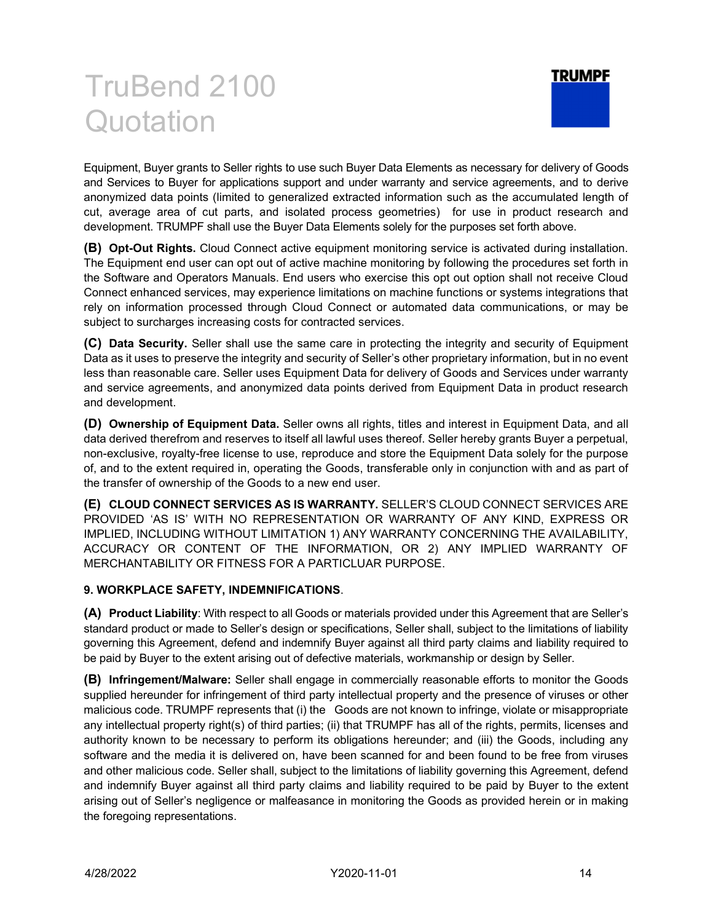

Equipment, Buyer grants to Seller rights to use such Buyer Data Elements as necessary for delivery of Goods and Services to Buyer for applications support and under warranty and service agreements, and to derive anonymized data points (limited to generalized extracted information such as the accumulated length of cut, average area of cut parts, and isolated process geometries) for use in product research and development. TRUMPF shall use the Buyer Data Elements solely for the purposes set forth above.

(B) Opt-Out Rights. Cloud Connect active equipment monitoring service is activated during installation. The Equipment end user can opt out of active machine monitoring by following the procedures set forth in the Software and Operators Manuals. End users who exercise this opt out option shall not receive Cloud Connect enhanced services, may experience limitations on machine functions or systems integrations that rely on information processed through Cloud Connect or automated data communications, or may be subject to surcharges increasing costs for contracted services.

(C) Data Security. Seller shall use the same care in protecting the integrity and security of Equipment Data as it uses to preserve the integrity and security of Seller's other proprietary information, but in no event less than reasonable care. Seller uses Equipment Data for delivery of Goods and Services under warranty and service agreements, and anonymized data points derived from Equipment Data in product research and development.

(D) Ownership of Equipment Data. Seller owns all rights, titles and interest in Equipment Data, and all data derived therefrom and reserves to itself all lawful uses thereof. Seller hereby grants Buyer a perpetual, non-exclusive, royalty-free license to use, reproduce and store the Equipment Data solely for the purpose of, and to the extent required in, operating the Goods, transferable only in conjunction with and as part of the transfer of ownership of the Goods to a new end user.

(E) CLOUD CONNECT SERVICES AS IS WARRANTY. SELLER'S CLOUD CONNECT SERVICES ARE PROVIDED 'AS IS' WITH NO REPRESENTATION OR WARRANTY OF ANY KIND, EXPRESS OR IMPLIED, INCLUDING WITHOUT LIMITATION 1) ANY WARRANTY CONCERNING THE AVAILABILITY, ACCURACY OR CONTENT OF THE INFORMATION, OR 2) ANY IMPLIED WARRANTY OF MERCHANTABILITY OR FITNESS FOR A PARTICLUAR PURPOSE.

#### 9. WORKPLACE SAFETY, INDEMNIFICATIONS.

(A) Product Liability: With respect to all Goods or materials provided under this Agreement that are Seller's standard product or made to Seller's design or specifications, Seller shall, subject to the limitations of liability governing this Agreement, defend and indemnify Buyer against all third party claims and liability required to be paid by Buyer to the extent arising out of defective materials, workmanship or design by Seller.

(B) Infringement/Malware: Seller shall engage in commercially reasonable efforts to monitor the Goods supplied hereunder for infringement of third party intellectual property and the presence of viruses or other malicious code. TRUMPF represents that (i) the Goods are not known to infringe, violate or misappropriate any intellectual property right(s) of third parties; (ii) that TRUMPF has all of the rights, permits, licenses and authority known to be necessary to perform its obligations hereunder; and (iii) the Goods, including any software and the media it is delivered on, have been scanned for and been found to be free from viruses and other malicious code. Seller shall, subject to the limitations of liability governing this Agreement, defend and indemnify Buyer against all third party claims and liability required to be paid by Buyer to the extent arising out of Seller's negligence or malfeasance in monitoring the Goods as provided herein or in making the foregoing representations.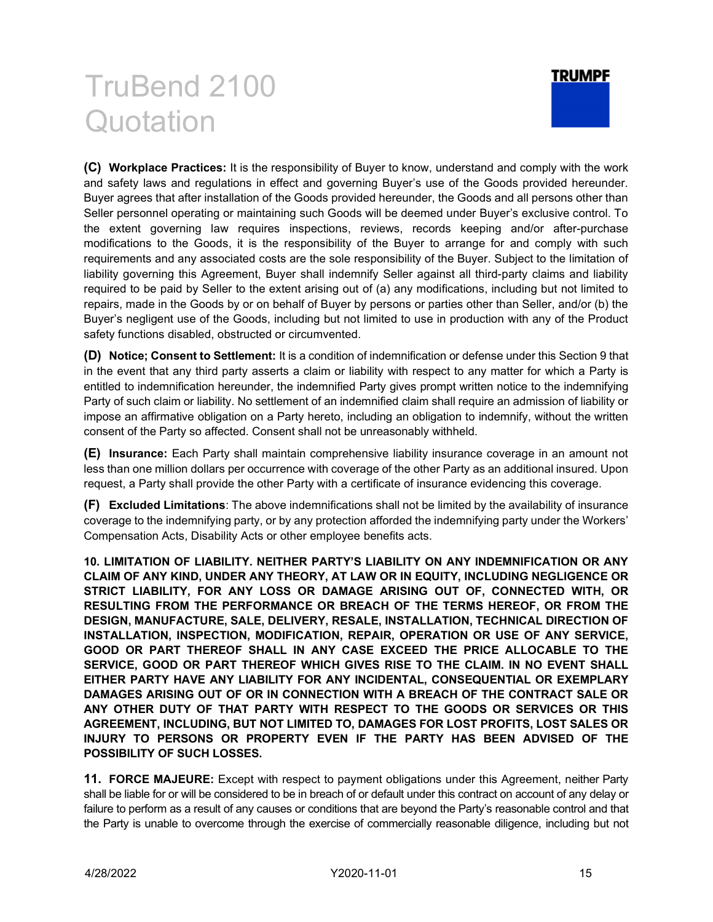

(C) Workplace Practices: It is the responsibility of Buyer to know, understand and comply with the work and safety laws and regulations in effect and governing Buyer's use of the Goods provided hereunder. Buyer agrees that after installation of the Goods provided hereunder, the Goods and all persons other than Seller personnel operating or maintaining such Goods will be deemed under Buyer's exclusive control. To the extent governing law requires inspections, reviews, records keeping and/or after-purchase modifications to the Goods, it is the responsibility of the Buyer to arrange for and comply with such requirements and any associated costs are the sole responsibility of the Buyer. Subject to the limitation of liability governing this Agreement, Buyer shall indemnify Seller against all third-party claims and liability required to be paid by Seller to the extent arising out of (a) any modifications, including but not limited to repairs, made in the Goods by or on behalf of Buyer by persons or parties other than Seller, and/or (b) the Buyer's negligent use of the Goods, including but not limited to use in production with any of the Product safety functions disabled, obstructed or circumvented.

(D) Notice; Consent to Settlement: It is a condition of indemnification or defense under this Section 9 that in the event that any third party asserts a claim or liability with respect to any matter for which a Party is entitled to indemnification hereunder, the indemnified Party gives prompt written notice to the indemnifying Party of such claim or liability. No settlement of an indemnified claim shall require an admission of liability or impose an affirmative obligation on a Party hereto, including an obligation to indemnify, without the written consent of the Party so affected. Consent shall not be unreasonably withheld.

(E) Insurance: Each Party shall maintain comprehensive liability insurance coverage in an amount not less than one million dollars per occurrence with coverage of the other Party as an additional insured. Upon request, a Party shall provide the other Party with a certificate of insurance evidencing this coverage.

(F) Excluded Limitations: The above indemnifications shall not be limited by the availability of insurance coverage to the indemnifying party, or by any protection afforded the indemnifying party under the Workers' Compensation Acts, Disability Acts or other employee benefits acts.

10. LIMITATION OF LIABILITY. NEITHER PARTY'S LIABILITY ON ANY INDEMNIFICATION OR ANY CLAIM OF ANY KIND, UNDER ANY THEORY, AT LAW OR IN EQUITY, INCLUDING NEGLIGENCE OR STRICT LIABILITY, FOR ANY LOSS OR DAMAGE ARISING OUT OF, CONNECTED WITH, OR RESULTING FROM THE PERFORMANCE OR BREACH OF THE TERMS HEREOF, OR FROM THE DESIGN, MANUFACTURE, SALE, DELIVERY, RESALE, INSTALLATION, TECHNICAL DIRECTION OF INSTALLATION, INSPECTION, MODIFICATION, REPAIR, OPERATION OR USE OF ANY SERVICE, GOOD OR PART THEREOF SHALL IN ANY CASE EXCEED THE PRICE ALLOCABLE TO THE SERVICE, GOOD OR PART THEREOF WHICH GIVES RISE TO THE CLAIM. IN NO EVENT SHALL EITHER PARTY HAVE ANY LIABILITY FOR ANY INCIDENTAL, CONSEQUENTIAL OR EXEMPLARY DAMAGES ARISING OUT OF OR IN CONNECTION WITH A BREACH OF THE CONTRACT SALE OR ANY OTHER DUTY OF THAT PARTY WITH RESPECT TO THE GOODS OR SERVICES OR THIS AGREEMENT, INCLUDING, BUT NOT LIMITED TO, DAMAGES FOR LOST PROFITS, LOST SALES OR INJURY TO PERSONS OR PROPERTY EVEN IF THE PARTY HAS BEEN ADVISED OF THE POSSIBILITY OF SUCH LOSSES.

11. FORCE MAJEURE: Except with respect to payment obligations under this Agreement, neither Party shall be liable for or will be considered to be in breach of or default under this contract on account of any delay or failure to perform as a result of any causes or conditions that are beyond the Party's reasonable control and that the Party is unable to overcome through the exercise of commercially reasonable diligence, including but not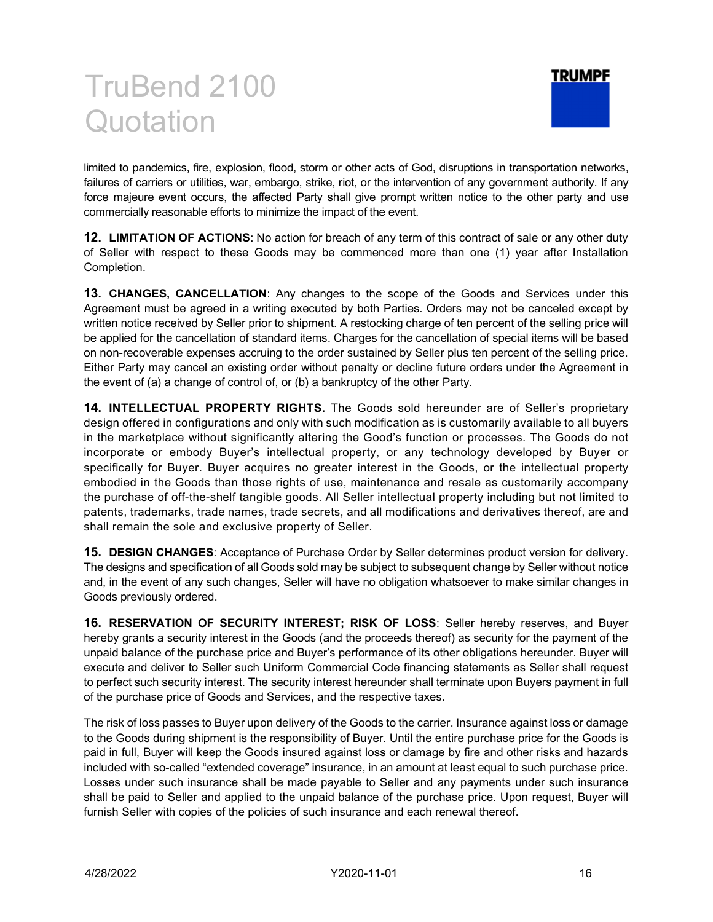

limited to pandemics, fire, explosion, flood, storm or other acts of God, disruptions in transportation networks, failures of carriers or utilities, war, embargo, strike, riot, or the intervention of any government authority. If any force majeure event occurs, the affected Party shall give prompt written notice to the other party and use commercially reasonable efforts to minimize the impact of the event.

12. LIMITATION OF ACTIONS: No action for breach of any term of this contract of sale or any other duty of Seller with respect to these Goods may be commenced more than one (1) year after Installation Completion.

13. CHANGES, CANCELLATION: Any changes to the scope of the Goods and Services under this Agreement must be agreed in a writing executed by both Parties. Orders may not be canceled except by written notice received by Seller prior to shipment. A restocking charge of ten percent of the selling price will be applied for the cancellation of standard items. Charges for the cancellation of special items will be based on non-recoverable expenses accruing to the order sustained by Seller plus ten percent of the selling price. Either Party may cancel an existing order without penalty or decline future orders under the Agreement in the event of (a) a change of control of, or (b) a bankruptcy of the other Party.

14. INTELLECTUAL PROPERTY RIGHTS. The Goods sold hereunder are of Seller's proprietary design offered in configurations and only with such modification as is customarily available to all buyers in the marketplace without significantly altering the Good's function or processes. The Goods do not incorporate or embody Buyer's intellectual property, or any technology developed by Buyer or specifically for Buyer. Buyer acquires no greater interest in the Goods, or the intellectual property embodied in the Goods than those rights of use, maintenance and resale as customarily accompany the purchase of off-the-shelf tangible goods. All Seller intellectual property including but not limited to patents, trademarks, trade names, trade secrets, and all modifications and derivatives thereof, are and shall remain the sole and exclusive property of Seller.

15. DESIGN CHANGES: Acceptance of Purchase Order by Seller determines product version for delivery. The designs and specification of all Goods sold may be subject to subsequent change by Seller without notice and, in the event of any such changes, Seller will have no obligation whatsoever to make similar changes in Goods previously ordered.

16. RESERVATION OF SECURITY INTEREST; RISK OF LOSS: Seller hereby reserves, and Buyer hereby grants a security interest in the Goods (and the proceeds thereof) as security for the payment of the unpaid balance of the purchase price and Buyer's performance of its other obligations hereunder. Buyer will execute and deliver to Seller such Uniform Commercial Code financing statements as Seller shall request to perfect such security interest. The security interest hereunder shall terminate upon Buyers payment in full of the purchase price of Goods and Services, and the respective taxes.

The risk of loss passes to Buyer upon delivery of the Goods to the carrier. Insurance against loss or damage to the Goods during shipment is the responsibility of Buyer. Until the entire purchase price for the Goods is paid in full, Buyer will keep the Goods insured against loss or damage by fire and other risks and hazards included with so-called "extended coverage" insurance, in an amount at least equal to such purchase price. Losses under such insurance shall be made payable to Seller and any payments under such insurance shall be paid to Seller and applied to the unpaid balance of the purchase price. Upon request, Buyer will furnish Seller with copies of the policies of such insurance and each renewal thereof.